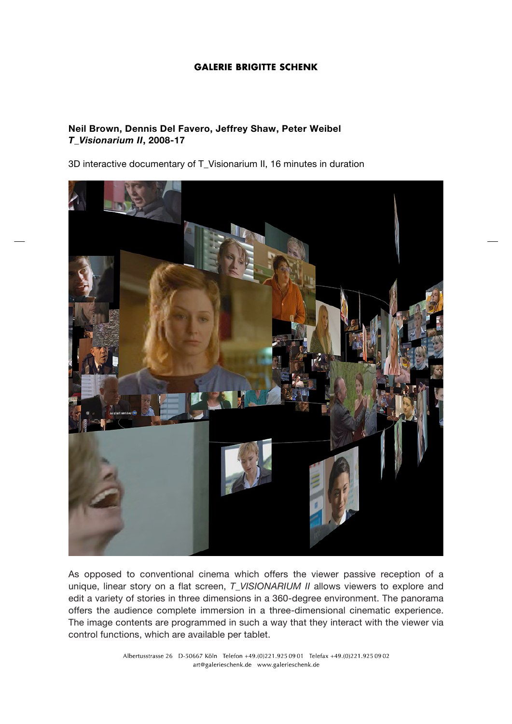## **GALERIE BRIGITTE SCHENK**

## **Neil Brown, Dennis Del Favero, Jeffrey Shaw, Peter Weibel** *T\_Visionarium II***, 2008-17**

3D interactive documentary of T\_Visionarium II, 16 minutes in duration



As opposed to conventional cinema which offers the viewer passive reception of a unique, linear story on a flat screen, *T\_VISIONARIUM II* allows viewers to explore and edit a variety of stories in three dimensions in a 360-degree environment. The panorama offers the audience complete immersion in a three-dimensional cinematic experience. The image contents are programmed in such a way that they interact with the viewer via control functions, which are available per tablet.

> Albertusstrasse 26 D-50667 Köln Telefon +49.(0)221.925 09 01 Telefax +49.(0)221.925 09 02 art@galerieschenk.de www.galerieschenk.de